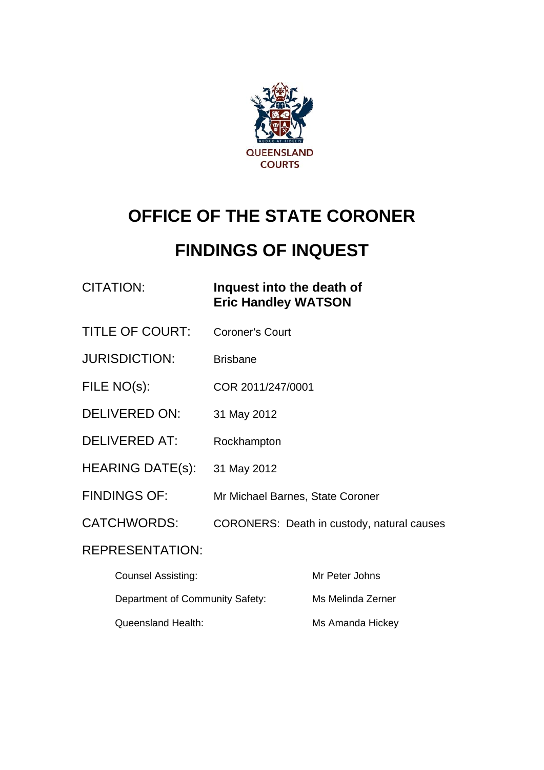

# **OFFICE OF THE STATE CORONER**

# **FINDINGS OF INQUEST**

# CITATION: **Inquest into the death of Eric Handley WATSON**

- TITLE OF COURT: Coroner's Court
- JURISDICTION: Brisbane
- FILE NO(s): COR 2011/247/0001
- DELIVERED ON: 31 May 2012
- DELIVERED AT: Rockhampton
- HEARING DATE(s): 31 May 2012
- FINDINGS OF: Mr Michael Barnes, State Coroner
- CATCHWORDS: CORONERS: Death in custody, natural causes

# REPRESENTATION:

| <b>Counsel Assisting:</b>       | Mr Peter Johns    |
|---------------------------------|-------------------|
| Department of Community Safety: | Ms Melinda Zerner |
| Queensland Health:              | Ms Amanda Hickey  |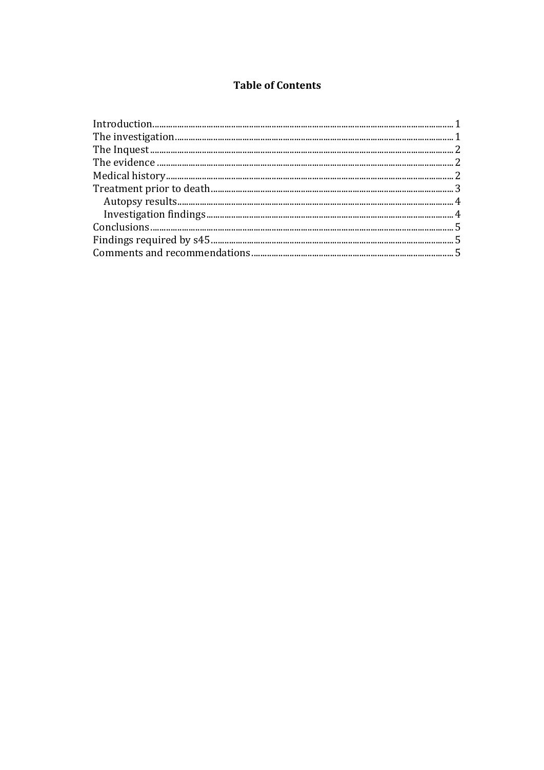## **Table of Contents**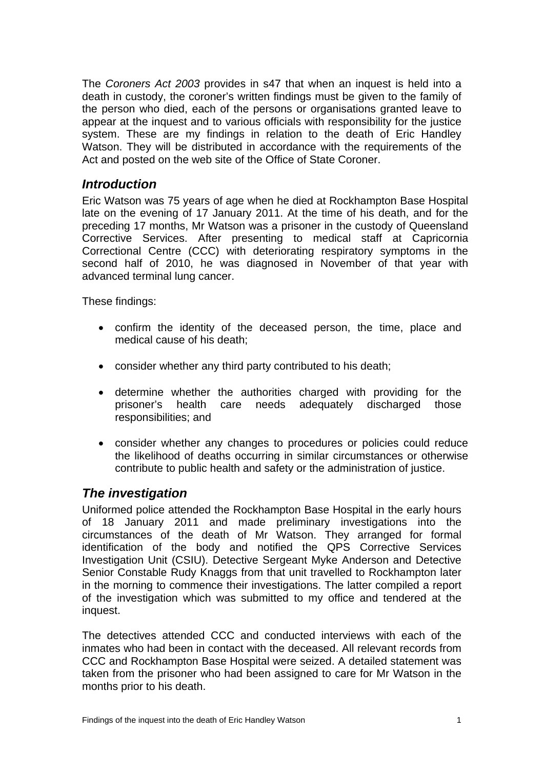The *Coroners Act 2003* provides in s47 that when an inquest is held into a death in custody, the coroner's written findings must be given to the family of the person who died, each of the persons or organisations granted leave to appear at the inquest and to various officials with responsibility for the justice system. These are my findings in relation to the death of Eric Handley Watson. They will be distributed in accordance with the requirements of the Act and posted on the web site of the Office of State Coroner.

#### <span id="page-2-0"></span>*Introduction*

Eric Watson was 75 years of age when he died at Rockhampton Base Hospital late on the evening of 17 January 2011. At the time of his death, and for the preceding 17 months, Mr Watson was a prisoner in the custody of Queensland Corrective Services. After presenting to medical staff at Capricornia Correctional Centre (CCC) with deteriorating respiratory symptoms in the second half of 2010, he was diagnosed in November of that year with advanced terminal lung cancer.

These findings:

- confirm the identity of the deceased person, the time, place and medical cause of his death;
- consider whether any third party contributed to his death;
- determine whether the authorities charged with providing for the prisoner's health care needs adequately discharged those responsibilities; and
- consider whether any changes to procedures or policies could reduce the likelihood of deaths occurring in similar circumstances or otherwise contribute to public health and safety or the administration of justice.

### <span id="page-2-1"></span>*The investigation*

Uniformed police attended the Rockhampton Base Hospital in the early hours of 18 January 2011 and made preliminary investigations into the circumstances of the death of Mr Watson. They arranged for formal identification of the body and notified the QPS Corrective Services Investigation Unit (CSIU). Detective Sergeant Myke Anderson and Detective Senior Constable Rudy Knaggs from that unit travelled to Rockhampton later in the morning to commence their investigations. The latter compiled a report of the investigation which was submitted to my office and tendered at the inquest.

The detectives attended CCC and conducted interviews with each of the inmates who had been in contact with the deceased. All relevant records from CCC and Rockhampton Base Hospital were seized. A detailed statement was taken from the prisoner who had been assigned to care for Mr Watson in the months prior to his death.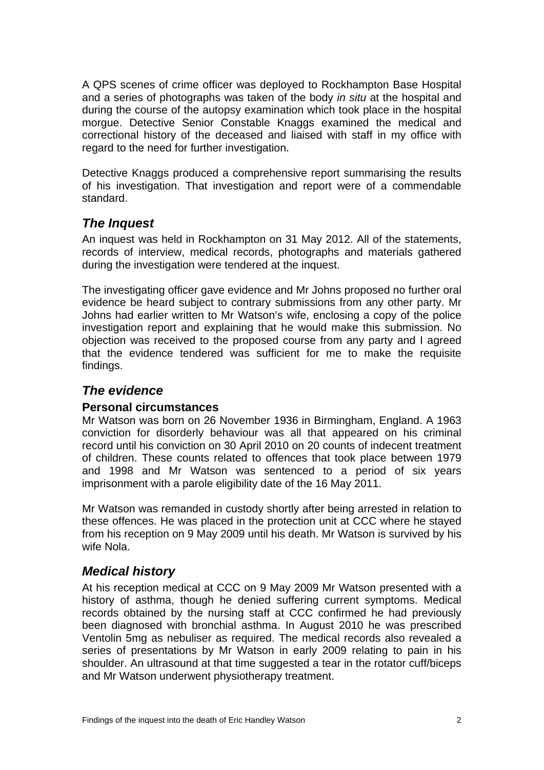A QPS scenes of crime officer was deployed to Rockhampton Base Hospital and a series of photographs was taken of the body *in situ* at the hospital and during the course of the autopsy examination which took place in the hospital morgue. Detective Senior Constable Knaggs examined the medical and correctional history of the deceased and liaised with staff in my office with regard to the need for further investigation.

Detective Knaggs produced a comprehensive report summarising the results of his investigation. That investigation and report were of a commendable standard.

# <span id="page-3-0"></span>*The Inquest*

An inquest was held in Rockhampton on 31 May 2012. All of the statements, records of interview, medical records, photographs and materials gathered during the investigation were tendered at the inquest.

The investigating officer gave evidence and Mr Johns proposed no further oral evidence be heard subject to contrary submissions from any other party. Mr Johns had earlier written to Mr Watson's wife, enclosing a copy of the police investigation report and explaining that he would make this submission. No objection was received to the proposed course from any party and I agreed that the evidence tendered was sufficient for me to make the requisite findings.

## <span id="page-3-1"></span>*The evidence*

#### **Personal circumstances**

Mr Watson was born on 26 November 1936 in Birmingham, England. A 1963 conviction for disorderly behaviour was all that appeared on his criminal record until his conviction on 30 April 2010 on 20 counts of indecent treatment of children. These counts related to offences that took place between 1979 and 1998 and Mr Watson was sentenced to a period of six years imprisonment with a parole eligibility date of the 16 May 2011.

Mr Watson was remanded in custody shortly after being arrested in relation to these offences. He was placed in the protection unit at CCC where he stayed from his reception on 9 May 2009 until his death. Mr Watson is survived by his wife Nola.

### <span id="page-3-2"></span>*Medical history*

At his reception medical at CCC on 9 May 2009 Mr Watson presented with a history of asthma, though he denied suffering current symptoms. Medical records obtained by the nursing staff at CCC confirmed he had previously been diagnosed with bronchial asthma. In August 2010 he was prescribed Ventolin 5mg as nebuliser as required. The medical records also revealed a series of presentations by Mr Watson in early 2009 relating to pain in his shoulder. An ultrasound at that time suggested a tear in the rotator cuff/biceps and Mr Watson underwent physiotherapy treatment.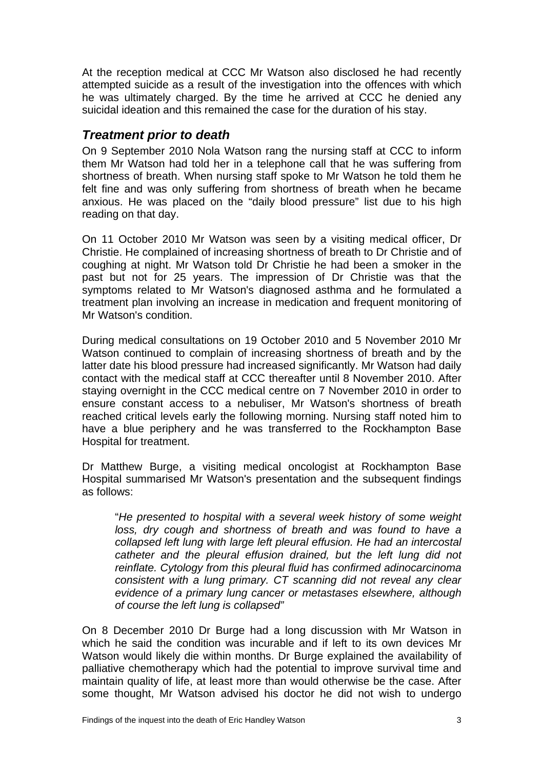At the reception medical at CCC Mr Watson also disclosed he had recently attempted suicide as a result of the investigation into the offences with which he was ultimately charged. By the time he arrived at CCC he denied any suicidal ideation and this remained the case for the duration of his stay.

#### <span id="page-4-0"></span>*Treatment prior to death*

On 9 September 2010 Nola Watson rang the nursing staff at CCC to inform them Mr Watson had told her in a telephone call that he was suffering from shortness of breath. When nursing staff spoke to Mr Watson he told them he felt fine and was only suffering from shortness of breath when he became anxious. He was placed on the "daily blood pressure" list due to his high reading on that day.

On 11 October 2010 Mr Watson was seen by a visiting medical officer, Dr Christie. He complained of increasing shortness of breath to Dr Christie and of coughing at night. Mr Watson told Dr Christie he had been a smoker in the past but not for 25 years. The impression of Dr Christie was that the symptoms related to Mr Watson's diagnosed asthma and he formulated a treatment plan involving an increase in medication and frequent monitoring of Mr Watson's condition.

During medical consultations on 19 October 2010 and 5 November 2010 Mr Watson continued to complain of increasing shortness of breath and by the latter date his blood pressure had increased significantly. Mr Watson had daily contact with the medical staff at CCC thereafter until 8 November 2010. After staying overnight in the CCC medical centre on 7 November 2010 in order to ensure constant access to a nebuliser, Mr Watson's shortness of breath reached critical levels early the following morning. Nursing staff noted him to have a blue periphery and he was transferred to the Rockhampton Base Hospital for treatment.

Dr Matthew Burge, a visiting medical oncologist at Rockhampton Base Hospital summarised Mr Watson's presentation and the subsequent findings as follows:

"*He presented to hospital with a several week history of some weight loss, dry cough and shortness of breath and was found to have a collapsed left lung with large left pleural effusion. He had an intercostal catheter and the pleural effusion drained, but the left lung did not reinflate. Cytology from this pleural fluid has confirmed adinocarcinoma consistent with a lung primary. CT scanning did not reveal any clear evidence of a primary lung cancer or metastases elsewhere, although of course the left lung is collapsed"* 

On 8 December 2010 Dr Burge had a long discussion with Mr Watson in which he said the condition was incurable and if left to its own devices Mr Watson would likely die within months. Dr Burge explained the availability of palliative chemotherapy which had the potential to improve survival time and maintain quality of life, at least more than would otherwise be the case. After some thought, Mr Watson advised his doctor he did not wish to undergo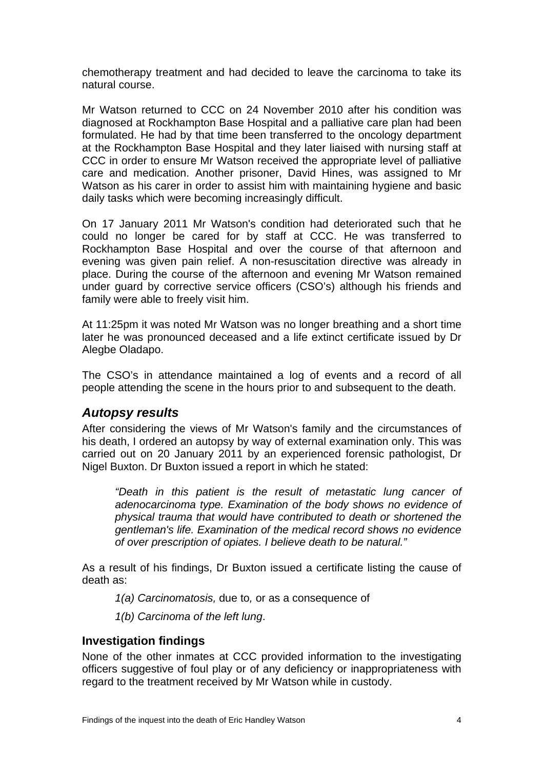chemotherapy treatment and had decided to leave the carcinoma to take its natural course.

Mr Watson returned to CCC on 24 November 2010 after his condition was diagnosed at Rockhampton Base Hospital and a palliative care plan had been formulated. He had by that time been transferred to the oncology department at the Rockhampton Base Hospital and they later liaised with nursing staff at CCC in order to ensure Mr Watson received the appropriate level of palliative care and medication. Another prisoner, David Hines, was assigned to Mr Watson as his carer in order to assist him with maintaining hygiene and basic daily tasks which were becoming increasingly difficult.

On 17 January 2011 Mr Watson's condition had deteriorated such that he could no longer be cared for by staff at CCC. He was transferred to Rockhampton Base Hospital and over the course of that afternoon and evening was given pain relief. A non-resuscitation directive was already in place. During the course of the afternoon and evening Mr Watson remained under guard by corrective service officers (CSO's) although his friends and family were able to freely visit him.

At 11:25pm it was noted Mr Watson was no longer breathing and a short time later he was pronounced deceased and a life extinct certificate issued by Dr Alegbe Oladapo.

The CSO's in attendance maintained a log of events and a record of all people attending the scene in the hours prior to and subsequent to the death.

#### <span id="page-5-0"></span>*Autopsy results*

After considering the views of Mr Watson's family and the circumstances of his death, I ordered an autopsy by way of external examination only. This was carried out on 20 January 2011 by an experienced forensic pathologist, Dr Nigel Buxton. Dr Buxton issued a report in which he stated:

*"Death in this patient is the result of metastatic lung cancer of adenocarcinoma type. Examination of the body shows no evidence of physical trauma that would have contributed to death or shortened the gentleman's life. Examination of the medical record shows no evidence of over prescription of opiates. I believe death to be natural."* 

As a result of his findings, Dr Buxton issued a certificate listing the cause of death as:

*1(a) Carcinomatosis,* due to*,* or as a consequence of

*1(b) Carcinoma of the left lung*.

#### <span id="page-5-1"></span>**Investigation findings**

None of the other inmates at CCC provided information to the investigating officers suggestive of foul play or of any deficiency or inappropriateness with regard to the treatment received by Mr Watson while in custody.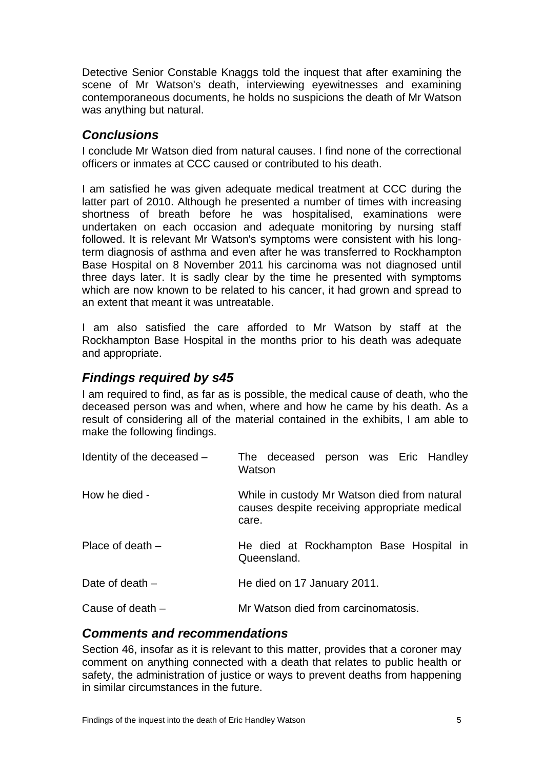Detective Senior Constable Knaggs told the inquest that after examining the scene of Mr Watson's death, interviewing eyewitnesses and examining contemporaneous documents, he holds no suspicions the death of Mr Watson was anything but natural.

### <span id="page-6-0"></span>*Conclusions*

I conclude Mr Watson died from natural causes. I find none of the correctional officers or inmates at CCC caused or contributed to his death.

I am satisfied he was given adequate medical treatment at CCC during the latter part of 2010. Although he presented a number of times with increasing shortness of breath before he was hospitalised, examinations were undertaken on each occasion and adequate monitoring by nursing staff followed. It is relevant Mr Watson's symptoms were consistent with his longterm diagnosis of asthma and even after he was transferred to Rockhampton Base Hospital on 8 November 2011 his carcinoma was not diagnosed until three days later. It is sadly clear by the time he presented with symptoms which are now known to be related to his cancer, it had grown and spread to an extent that meant it was untreatable.

I am also satisfied the care afforded to Mr Watson by staff at the Rockhampton Base Hospital in the months prior to his death was adequate and appropriate.

## <span id="page-6-1"></span>*Findings required by s45*

I am required to find, as far as is possible, the medical cause of death, who the deceased person was and when, where and how he came by his death. As a result of considering all of the material contained in the exhibits, I am able to make the following findings.

| Identity of the deceased $-$ | The deceased person was Eric Handley<br>Watson                                                        |
|------------------------------|-------------------------------------------------------------------------------------------------------|
| How he died -                | While in custody Mr Watson died from natural<br>causes despite receiving appropriate medical<br>care. |
| Place of death $-$           | He died at Rockhampton Base Hospital in<br>Queensland.                                                |
| Date of death $-$            | He died on 17 January 2011.                                                                           |
| Cause of death $-$           | Mr Watson died from carcinomatosis.                                                                   |

### <span id="page-6-2"></span>*Comments and recommendations*

Section 46, insofar as it is relevant to this matter, provides that a coroner may comment on anything connected with a death that relates to public health or safety, the administration of justice or ways to prevent deaths from happening in similar circumstances in the future.